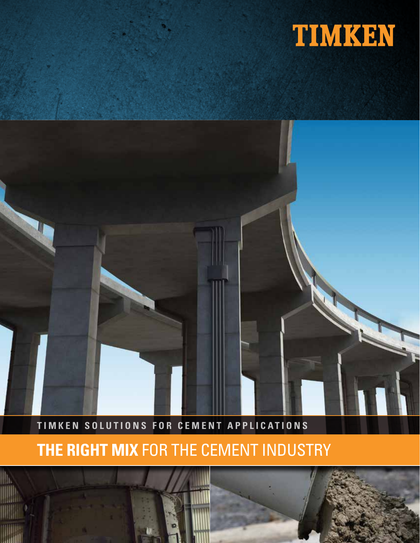

# **TIMKEN SOLUTIONS FOR CEMENT APPLICATIONS**

# **THE RIGHT MIX** FOR THE CEMENT INDUSTRY

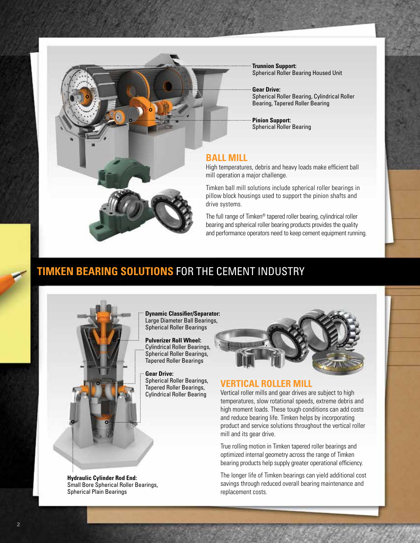

**Trunnion Support:** Spherical Roller Bearing Housed Unit

**Gear Drive:** Spherical Roller Bearing, Cylindrical Roller Bearing, Tapered Roller Bearing

**Pinion Support:** Spherical Roller Bearing

# **BALL MILL**

High temperatures, debris and heavy loads make efficient ball mill operation a major challenge.

Timken ball mill solutions include spherical roller bearings in pillow block housings used to support the pinion shafts and drive systems.

The full range of Timken® tapered roller bearing, cylindrical roller bearing and spherical roller bearing products provides the quality and performance operators need to keep cement equipment running.

# **TIMKEN BEARING SOLUTIONS** FOR THE CEMENT INDUSTRY



**Dynamic Classifier/Separator:** Large Diameter Ball Bearings, Spherical Roller Bearings

**Pulverizer Roll Wheel:** Cylindrical Roller Bearings, Spherical Roller Bearings, Tapered Roller Bearings

**Gear Drive:** Spherical Roller Bearings, Tapered Roller Bearings, Cylindrical Roller Bearing



# **VERTICAL ROLLER MILL**

Vertical roller mills and gear drives are subject to high temperatures, slow rotational speeds, extreme debris and high moment loads. These tough conditions can add costs and reduce bearing life. Timken helps by incorporating product and service solutions throughout the vertical roller mill and its gear drive.

True rolling motion in Timken tapered roller bearings and optimized internal geometry across the range of Timken bearing products help supply greater operational efficiency.

The longer life of Timken bearings can yield additional cost savings through reduced overall bearing maintenance and replacement costs.

**Hydraulic Cylinder Rod End:** Small Bore Spherical Roller Bearings, Spherical Plain Bearings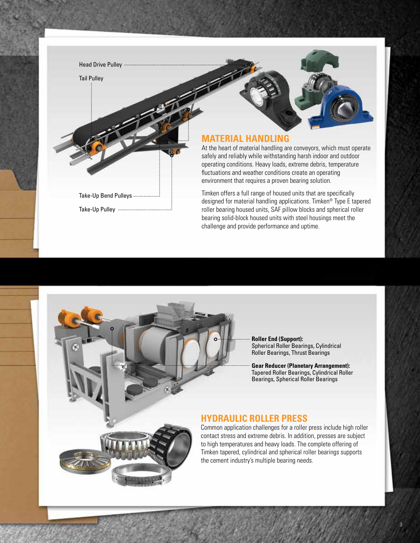

**Roller End (Support):** Spherical Roller Bearings, Cylindrical Roller Bearings, Thrust Bearings

**Gear Reducer (Planetary Arrangement):** Tapered Roller Bearings, Cylindrical Roller Bearings, Spherical Roller Bearings

# **HYDRAULIC ROLLER PRESS**

Common application challenges for a roller press include high roller contact stress and extreme debris. In addition, presses are subject to high temperatures and heavy loads. The complete offering of Timken tapered, cylindrical and spherical roller bearings supports the cement industry's multiple bearing needs.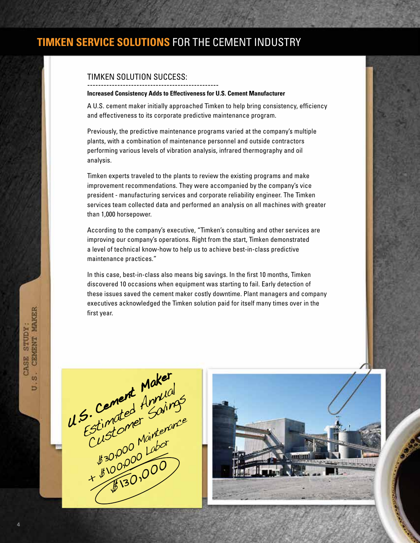# **TIMKEN SERVICE SOLUTIONS** FOR THE CEMENT INDUSTRY

# TIMKEN SOLUTION SUCCESS:

#### ------------------------------------------------ **Increased Consistency Adds to Effectiveness for U.S. Cement Manufacturer**

A U.S. cement maker initially approached Timken to help bring consistency, efficiency and effectiveness to its corporate predictive maintenance program.

Previously, the predictive maintenance programs varied at the company's multiple plants, with a combination of maintenance personnel and outside contractors performing various levels of vibration analysis, infrared thermography and oil analysis.

Timken experts traveled to the plants to review the existing programs and make improvement recommendations. They were accompanied by the company's vice president - manufacturing services and corporate reliability engineer. The Timken services team collected data and performed an analysis on all machines with greater than 1,000 horsepower.

According to the company's executive, "Timken's consulting and other services are improving our company's operations. Right from the start, Timken demonstrated a level of technical know-how to help us to achieve best-in-class predictive maintenance practices."

In this case, best-in-class also means big savings. In the first 10 months, Timken discovered 10 occasions when equipment was starting to fail. Early detection of these issues saved the cement maker costly downtime. Plant managers and company executives acknowledged the Timken solution paid for itself many times over in the first year.





CASE STUDY:<br>S. CEMENT MAKER

b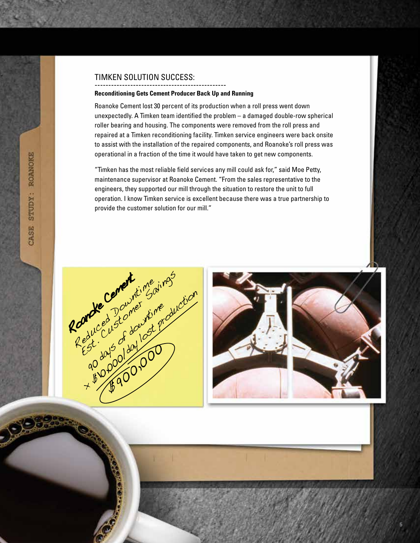# TIMKEN SOLUTION SUCCESS:

#### ------------------------------------------------ **Reconditioning Gets Cement Producer Back Up and Running**

Roanoke Cement lost 30 percent of its production when a roll press went down unexpectedly. A Timken team identified the problem – a damaged double-row spherical roller bearing and housing. The components were removed from the roll press and repaired at a Timken reconditioning facility. Timken service engineers were back onsite to assist with the installation of the repaired components, and Roanoke's roll press was operational in a fraction of the time it would have taken to get new components.

"Timken has the most reliable field services any mill could ask for," said Moe Petty, maintenance supervisor at Roanoke Cement. "From the sales representative to the engineers, they supported our mill through the situation to restore the unit to full operation. I know Timken service is excellent because there was a true partnership to provide the customer solution for our mill."



STUDY: ROANOKE

CASE

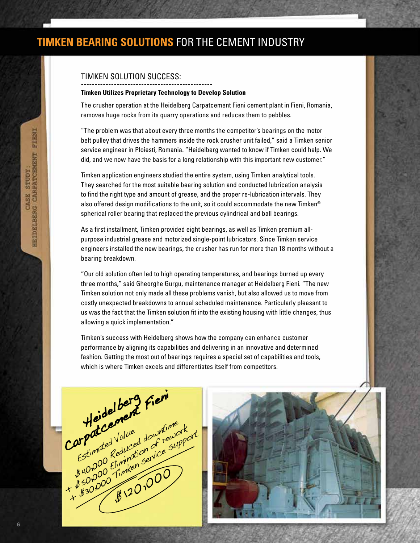# **TIMKEN BEARING SOLUTIONS** FOR THE CEMENT INDUSTRY

### TIMKEN SOLUTION SUCCESS:

#### ------------------------------------------------ **Timken Utilizes Proprietary Technology to Develop Solution**

The crusher operation at the Heidelberg Carpatcement Fieni cement plant in Fieni, Romania, removes huge rocks from its quarry operations and reduces them to pebbles.

"The problem was that about every three months the competitor's bearings on the motor belt pulley that drives the hammers inside the rock crusher unit failed," said a Timken senior service engineer in Ploiesti, Romania. "Heidelberg wanted to know if Timken could help. We did, and we now have the basis for a long relationship with this important new customer."

Timken application engineers studied the entire system, using Timken analytical tools. They searched for the most suitable bearing solution and conducted lubrication analysis to find the right type and amount of grease, and the proper re-lubrication intervals. They also offered design modifications to the unit, so it could accommodate the new Timken® spherical roller bearing that replaced the previous cylindrical and ball bearings.

As a first installment, Timken provided eight bearings, as well as Timken premium allpurpose industrial grease and motorized single-point lubricators. Since Timken service engineers installed the new bearings, the crusher has run for more than 18 months without a bearing breakdown.

"Our old solution often led to high operating temperatures, and bearings burned up every three months," said Gheorghe Gurgu, maintenance manager at Heidelberg Fieni. "The new Timken solution not only made all these problems vanish, but also allowed us to move from costly unexpected breakdowns to annual scheduled maintenance. Particularly pleasant to us was the fact that the Timken solution fit into the existing housing with little changes, thus allowing a quick implementation."

Timken's success with Heidelberg shows how the company can enhance customer performance by aligning its capabilities and delivering in an innovative and determined fashion. Getting the most out of bearings requires a special set of capabilities and tools, which is where Timken excels and differentiates itself from competitors.



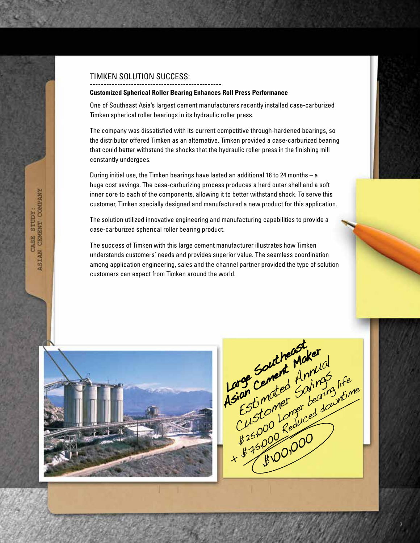### TIMKEN SOLUTION SUCCESS:

#### ------------------------------------------------ **Customized Spherical Roller Bearing Enhances Roll Press Performance**

One of Southeast Asia's largest cement manufacturers recently installed case-carburized Timken spherical roller bearings in its hydraulic roller press.

The company was dissatisfied with its current competitive through-hardened bearings, so the distributor offered Timken as an alternative. Timken provided a case-carburized bearing that could better withstand the shocks that the hydraulic roller press in the finishing mill constantly undergoes.

During initial use, the Timken bearings have lasted an additional 18 to 24 months – a huge cost savings. The case-carburizing process produces a hard outer shell and a soft inner core to each of the components, allowing it to better withstand shock. To serve this customer, Timken specially designed and manufactured a new product for this application.

The solution utilized innovative engineering and manufacturing capabilities to provide a case-carburized spherical roller bearing product.

The success of Timken with this large cement manufacturer illustrates how Timken understands customers' needs and provides superior value. The seamless coordination among application engineering, sales and the channel partner provided the type of solution customers can expect from Timken around the world.



Large Content Makerial arge Cemened Antigues<br>sian cemened Soling life<br>Estimates Soling life<br>Customer deduced doubting<br>(ustomer deduced doubting sian indee Somming, time \$100,000 Large Southeast<br>Large Southeast And Large Southeastaker<br>Large Cement Annu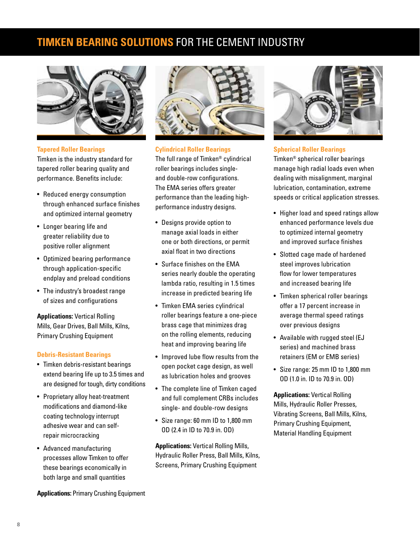# **TIMKEN BEARING SOLUTIONS** FOR THE CEMENT INDUSTRY



**Tapered Roller Bearings**

Timken is the industry standard for tapered roller bearing quality and performance. Benefits include:

- Reduced energy consumption through enhanced surface finishes and optimized internal geometry
- Longer bearing life and greater reliability due to positive roller alignment
- Optimized bearing performance through application-specific endplay and preload conditions
- The industry's broadest range of sizes and configurations

**Applications:** Vertical Rolling Mills, Gear Drives, Ball Mills, Kilns, Primary Crushing Equipment

### **Debris-Resistant Bearings**

- Timken debris-resistant bearings extend bearing life up to 3.5 times and are designed for tough, dirty conditions
- Proprietary alloy heat-treatment modifications and diamond-like coating technology interrupt adhesive wear and can selfrepair microcracking
- Advanced manufacturing processes allow Timken to offer these bearings economically in both large and small quantities

**Applications:** Primary Crushing Equipment



### **Cylindrical Roller Bearings**

The full range of Timken® cylindrical roller bearings includes singleand double-row configurations. The EMA series offers greater performance than the leading highperformance industry designs.

- Designs provide option to manage axial loads in either one or both directions, or permit axial float in two directions
- Surface finishes on the EMA series nearly double the operating lambda ratio, resulting in 1.5 times increase in predicted bearing life
- Timken EMA series cylindrical roller bearings feature a one-piece brass cage that minimizes drag on the rolling elements, reducing heat and improving bearing life
- Improved lube flow results from the open pocket cage design, as well as lubrication holes and grooves
- The complete line of Timken caged and full complement CRBs includes single- and double-row designs
- Size range: 60 mm ID to 1,800 mm OD (2.4 in ID to 70.9 in. OD)

**Applications:** Vertical Rolling Mills, Hydraulic Roller Press, Ball Mills, Kilns, Screens, Primary Crushing Equipment



# **Spherical Roller Bearings**

Timken® spherical roller bearings manage high radial loads even when dealing with misalignment, marginal lubrication, contamination, extreme speeds or critical application stresses.

- Higher load and speed ratings allow enhanced performance levels due to optimized internal geometry and improved surface finishes
- Slotted cage made of hardened steel improves lubrication flow for lower temperatures and increased bearing life
- Timken spherical roller bearings offer a 17 percent increase in average thermal speed ratings over previous designs
- Available with rugged steel (EJ series) and machined brass retainers (EM or EMB series)
- Size range: 25 mm ID to 1,800 mm OD (1.0 in. ID to 70.9 in. OD)

**Applications:** Vertical Rolling Mills, Hydraulic Roller Presses, Vibrating Screens, Ball Mills, Kilns, Primary Crushing Equipment, Material Handling Equipment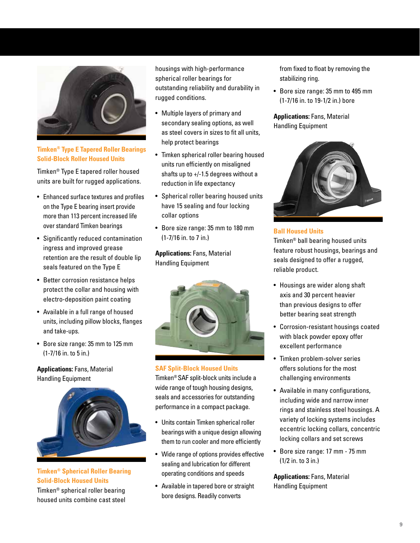

**Timken® Type E Tapered Roller Bearings Solid-Block Roller Housed Units**

Timken® Type E tapered roller housed units are built for rugged applications.

- Enhanced surface textures and profiles on the Type E bearing insert provide more than 113 percent increased life over standard Timken bearings
- Significantly reduced contamination ingress and improved grease retention are the result of double lip seals featured on the Type E
- Better corrosion resistance helps protect the collar and housing with electro-deposition paint coating
- Available in a full range of housed units, including pillow blocks, flanges and take-ups.
- Bore size range: 35 mm to 125 mm (1-7/16 in. to 5 in.)

**Applications:** Fans, Material Handling Equipment



**Timken® Spherical Roller Bearing Solid-Block Housed Units** Timken® spherical roller bearing

housed units combine cast steel

housings with high-performance spherical roller bearings for outstanding reliability and durability in rugged conditions.

- Multiple layers of primary and secondary sealing options, as well as steel covers in sizes to fit all units, help protect bearings
- Timken spherical roller bearing housed units run efficiently on misaligned shafts up to +/-1.5 degrees without a reduction in life expectancy
- Spherical roller bearing housed units have 15 sealing and four locking collar options
- Bore size range: 35 mm to 180 mm (1-7/16 in. to 7 in.)

**Applications:** Fans, Material Handling Equipment



# **SAF Split-Block Housed Units**

Timken® SAF split-block units include a wide range of tough housing designs, seals and accessories for outstanding performance in a compact package.

- Units contain Timken spherical roller bearings with a unique design allowing them to run cooler and more efficiently
- Wide range of options provides effective sealing and lubrication for different operating conditions and speeds
- Available in tapered bore or straight bore designs. Readily converts

from fixed to float by removing the stabilizing ring.

• Bore size range: 35 mm to 495 mm (1-7/16 in. to 19-1/2 in.) bore

**Applications:** Fans, Material Handling Equipment



# **Ball Housed Units**

Timken® ball bearing housed units feature robust housings, bearings and seals designed to offer a rugged, reliable product.

- Housings are wider along shaft axis and 30 percent heavier than previous designs to offer better bearing seat strength
- Corrosion-resistant housings coated with black powder epoxy offer excellent performance
- Timken problem-solver series offers solutions for the most challenging environments
- Available in many configurations, including wide and narrow inner rings and stainless steel housings. A variety of locking systems includes eccentric locking collars, concentric locking collars and set screws
- Bore size range: 17 mm 75 mm (1/2 in. to 3 in.)

**Applications:** Fans, Material Handling Equipment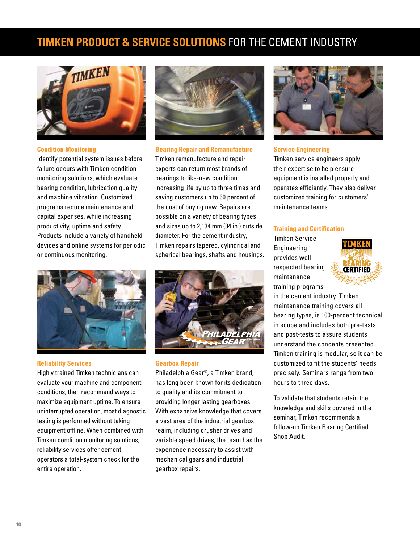# **TIMKEN PRODUCT & SERVICE SOLUTIONS** FOR THE CEMENT INDUSTRY



#### **Condition Monitoring**

Identify potential system issues before failure occurs with Timken condition monitoring solutions, which evaluate bearing condition, lubrication quality and machine vibration. Customized programs reduce maintenance and capital expenses, while increasing productivity, uptime and safety. Products include a variety of handheld devices and online systems for periodic or continuous monitoring.



**Bearing Repair and Remanufacture**

Timken remanufacture and repair experts can return most brands of bearings to like-new condition, increasing life by up to three times and saving customers up to 60 percent of the cost of buying new. Repairs are possible on a variety of bearing types and sizes up to 2,134 mm (84 in.) outside diameter. For the cement industry, Timken repairs tapered, cylindrical and spherical bearings, shafts and housings.



#### **Reliability Services**

Highly trained Timken technicians can evaluate your machine and component conditions, then recommend ways to maximize equipment uptime. To ensure uninterrupted operation, most diagnostic testing is performed without taking equipment offline. When combined with Timken condition monitoring solutions, reliability services offer cement operators a total-system check for the entire operation.



#### **Gearbox Repair**

Philadelphia Gear®, a Timken brand, has long been known for its dedication to quality and its commitment to providing longer lasting gearboxes. With expansive knowledge that covers a vast area of the industrial gearbox realm, including crusher drives and variable speed drives, the team has the experience necessary to assist with mechanical gears and industrial gearbox repairs.



#### **Service Engineering**

Timken service engineers apply their expertise to help ensure equipment is installed properly and operates efficiently. They also deliver customized training for customers' maintenance teams.

#### **Training and Certification**

Timken Service Engineering provides wellrespected bearing maintenance training programs



in the cement industry. Timken maintenance training covers all bearing types, is 100-percent technical in scope and includes both pre-tests and post-tests to assure students understand the concepts presented. Timken training is modular, so it can be customized to fit the students' needs precisely. Seminars range from two hours to three days.

To validate that students retain the knowledge and skills covered in the seminar, Timken recommends a follow-up Timken Bearing Certified Shop Audit.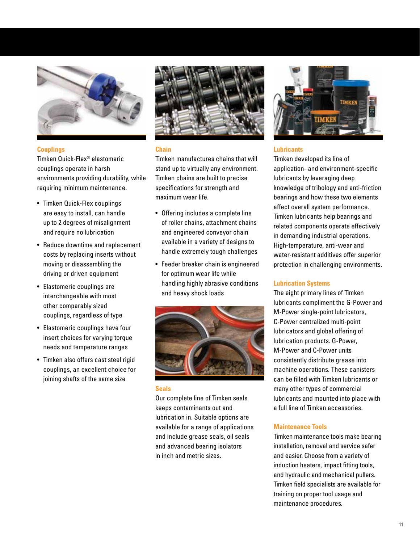

#### **Couplings**

Timken Quick-Flex® elastomeric couplings operate in harsh environments providing durability, while requiring minimum maintenance.

- Timken Quick-Flex couplings are easy to install, can handle up to 2 degrees of misalignment and require no lubrication
- Reduce downtime and replacement costs by replacing inserts without moving or disassembling the driving or driven equipment
- Elastomeric couplings are interchangeable with most other comparably sized couplings, regardless of type
- Elastomeric couplings have four insert choices for varying torque needs and temperature ranges
- Timken also offers cast steel rigid couplings, an excellent choice for joining shafts of the same size



### **Chain**

Timken manufactures chains that will stand up to virtually any environment. Timken chains are built to precise specifications for strength and maximum wear life.

- Offering includes a complete line of roller chains, attachment chains and engineered conveyor chain available in a variety of designs to handle extremely tough challenges
- Feeder breaker chain is engineered for optimum wear life while handling highly abrasive conditions and heavy shock loads



#### **Seals**

Our complete line of Timken seals keeps contaminants out and lubrication in. Suitable options are available for a range of applications and include grease seals, oil seals and advanced bearing isolators in inch and metric sizes.



#### **Lubricants**

Timken developed its line of application- and environment-specific lubricants by leveraging deep knowledge of tribology and anti-friction bearings and how these two elements affect overall system performance. Timken lubricants help bearings and related components operate effectively in demanding industrial operations. High-temperature, anti-wear and water-resistant additives offer superior protection in challenging environments.

### **Lubrication Systems**

The eight primary lines of Timken lubricants compliment the G-Power and M-Power single-point lubricators, C-Power centralized multi-point lubricators and global offering of lubrication products. G-Power, M-Power and C-Power units consistently distribute grease into machine operations. These canisters can be filled with Timken lubricants or many other types of commercial lubricants and mounted into place with a full line of Timken accessories.

#### **Maintenance Tools**

Timken maintenance tools make bearing installation, removal and service safer and easier. Choose from a variety of induction heaters, impact fitting tools, and hydraulic and mechanical pullers. Timken field specialists are available for training on proper tool usage and maintenance procedures.